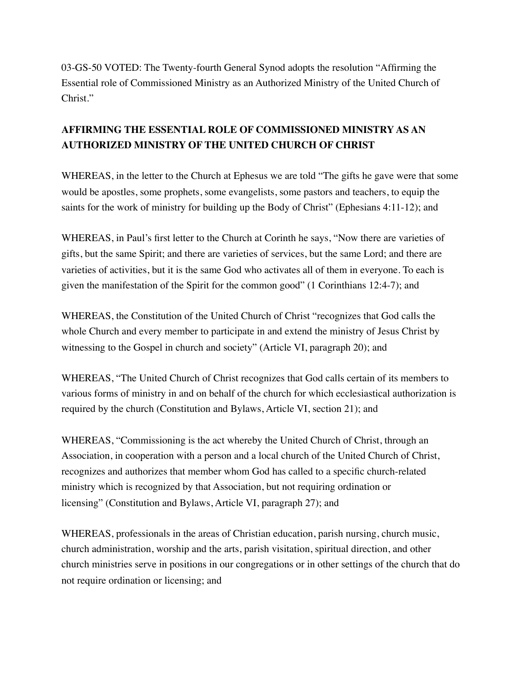03-GS-50 VOTED: The Twenty-fourth General Synod adopts the resolution "Affirming the Essential role of Commissioned Ministry as an Authorized Ministry of the United Church of Christ."

## **AFFIRMING THE ESSENTIAL ROLE OF COMMISSIONED MINISTRY AS AN AUTHORIZED MINISTRY OF THE UNITED CHURCH OF CHRIST**

WHEREAS, in the letter to the Church at Ephesus we are told "The gifts he gave were that some would be apostles, some prophets, some evangelists, some pastors and teachers, to equip the saints for the work of ministry for building up the Body of Christ" (Ephesians 4:11-12); and

WHEREAS, in Paul's first letter to the Church at Corinth he says, "Now there are varieties of gifts, but the same Spirit; and there are varieties of services, but the same Lord; and there are varieties of activities, but it is the same God who activates all of them in everyone. To each is given the manifestation of the Spirit for the common good" (1 Corinthians 12:4-7); and

WHEREAS, the Constitution of the United Church of Christ "recognizes that God calls the whole Church and every member to participate in and extend the ministry of Jesus Christ by witnessing to the Gospel in church and society" (Article VI, paragraph 20); and

WHEREAS, "The United Church of Christ recognizes that God calls certain of its members to various forms of ministry in and on behalf of the church for which ecclesiastical authorization is required by the church (Constitution and Bylaws, Article VI, section 21); and

WHEREAS, "Commissioning is the act whereby the United Church of Christ, through an Association, in cooperation with a person and a local church of the United Church of Christ, recognizes and authorizes that member whom God has called to a specific church-related ministry which is recognized by that Association, but not requiring ordination or licensing" (Constitution and Bylaws, Article VI, paragraph 27); and

WHEREAS, professionals in the areas of Christian education, parish nursing, church music, church administration, worship and the arts, parish visitation, spiritual direction, and other church ministries serve in positions in our congregations or in other settings of the church that do not require ordination or licensing; and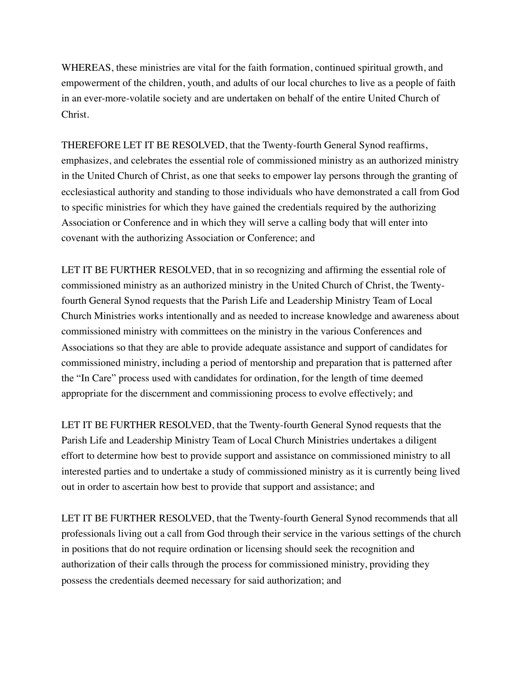WHEREAS, these ministries are vital for the faith formation, continued spiritual growth, and empowerment of the children, youth, and adults of our local churches to live as a people of faith in an ever-more-volatile society and are undertaken on behalf of the entire United Church of Christ.

THEREFORE LET IT BE RESOLVED, that the Twenty-fourth General Synod reaffirms, emphasizes, and celebrates the essential role of commissioned ministry as an authorized ministry in the United Church of Christ, as one that seeks to empower lay persons through the granting of ecclesiastical authority and standing to those individuals who have demonstrated a call from God to specific ministries for which they have gained the credentials required by the authorizing Association or Conference and in which they will serve a calling body that will enter into covenant with the authorizing Association or Conference; and

LET IT BE FURTHER RESOLVED, that in so recognizing and affirming the essential role of commissioned ministry as an authorized ministry in the United Church of Christ, the Twentyfourth General Synod requests that the Parish Life and Leadership Ministry Team of Local Church Ministries works intentionally and as needed to increase knowledge and awareness about commissioned ministry with committees on the ministry in the various Conferences and Associations so that they are able to provide adequate assistance and support of candidates for commissioned ministry, including a period of mentorship and preparation that is patterned after the "In Care" process used with candidates for ordination, for the length of time deemed appropriate for the discernment and commissioning process to evolve effectively; and

LET IT BE FURTHER RESOLVED, that the Twenty-fourth General Synod requests that the Parish Life and Leadership Ministry Team of Local Church Ministries undertakes a diligent effort to determine how best to provide support and assistance on commissioned ministry to all interested parties and to undertake a study of commissioned ministry as it is currently being lived out in order to ascertain how best to provide that support and assistance; and

LET IT BE FURTHER RESOLVED, that the Twenty-fourth General Synod recommends that all professionals living out a call from God through their service in the various settings of the church in positions that do not require ordination or licensing should seek the recognition and authorization of their calls through the process for commissioned ministry, providing they possess the credentials deemed necessary for said authorization; and